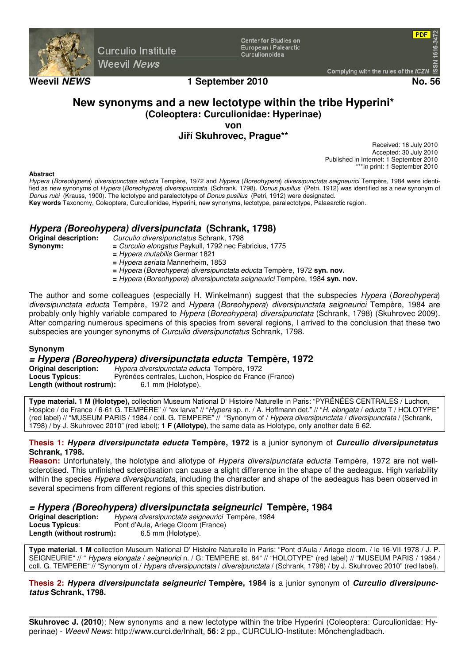

**Curculio Institute Weevil News** 

**Center for Studies on** European / Palearctic Curculionoidea

**PDF** 

## **Weevil NEWS 1 September 2010 No. 56**

# **New synonyms and a new lectotype within the tribe Hyperini\* (Coleoptera: Curculionidae: Hyperinae)**

**von** 

## **Jiří Skuhrovec, Prague\*\***

Received: 16 July 2010 Accepted: 30 July 2010 Published in Internet: 1 September 2010 \*\*\*In print: 1 September 2010

#### **Abstract**

*Hypera* (*Boreohypera*) *diversipunctata educta* Tempère, 1972 and *Hypera* (*Boreohypera*) *diversipunctata seigneurici* Tempère, 1984 were identified as new synonyms of *Hypera* (*Boreohypera*) *diversipunctata* (Schrank, 1798). *Donus pusillus* (Petri, 1912) was identified as a new synonym of *Donus rubi* (Krauss, 1900). The lectotype and paralectotype of *Donus pusillus* (Petri, 1912) were designated.

**Key words** Taxonomy, Coleoptera, Curculionidae, Hyperini, new synonyms, lectotype, paralectotype, Palaearctic region.

# **Hypera (Boreohypera) diversipunctata (Schrank, 1798)**

**Original description:** *Curculio diversipunctatus* Schrank, 1798 **Synonym: =** *Curculio elongatus* Paykull, 1792 nec Fabricius, 1775

- **=** *Hypera mutabilis* Germar 1821
- **=** *Hypera seriata* Mannerheim, 1853
- **=** *Hypera* (*Boreohypera*) *diversipunctata educta* Tempère, 1972 **syn. nov.**
- **=** *Hypera* (*Boreohypera*) *diversipunctata seigneurici* Tempère, 1984 **syn. nov.**

The author and some colleagues (especially H. Winkelmann) suggest that the subspecies *Hypera* (*Boreohypera*) *diversipunctata educta* Tempère, 1972 and *Hypera* (*Boreohypera*) *diversipunctata seigneurici* Tempère, 1984 are probably only highly variable compared to *Hypera* (*Boreohypera*) *diversipunctata* (Schrank, 1798) (Skuhrovec 2009)*.*  After comparing numerous specimens of this species from several regions, I arrived to the conclusion that these two subspecies are younger synonyms of *Curculio diversipunctatus* Schrank, 1798.

## **Synonym**

# **= Hypera (Boreohypera) diversipunctata educta Tempère, 1972**

**Original description:** *Hypera diversipunctata educta* Tempère, 1972 Pyrénées centrales, Luchon, Hospice de France (France)<br>: 6.1 mm (Holotype). **Length (without rostrum):** 

**Type material. 1 M (Holotype),** collection Museum National D' Histoire Naturelle in Paris: "PYRÉNÉES CENTRALES / Luchon, Hospice / de France / 6-61 G. TEMPÈRE" // "ex larva" // "*Hypera* sp. n. / A. Hoffmann det." // "*H*. *elongata* / *educta* T / HOLOTYPE" (red label) // "MUSEUM PARIS / 1984 / coll. G. TEMPERE" // "Synonym of / *Hypera diversipunctata* / *diversipunctata* / (Schrank, 1798) / by J. Skuhrovec 2010" (red label); **1 F (Allotype)**, the same data as Holotype, only another date 6-62.

#### **Thesis 1: Hypera diversipunctata educta Tempère, 1972** is a junior synonym of **Curculio diversipunctatus Schrank, 1798.**

**Reason:** Unfortunately, the holotype and allotype of *Hypera diversipunctata educta* Tempère, 1972 are not wellsclerotised. This unfinished sclerotisation can cause a slight difference in the shape of the aedeagus. High variability within the species *Hypera diversipunctata*, including the character and shape of the aedeagus has been observed in several specimens from different regions of this species distribution.

## **= Hypera (Boreohypera) diversipunctata seigneurici Tempère, 1984**

**Original description:** *Hypera diversipunctata seigneurici* Tempère, 1984<br> **Locus Typicus:** Pont d'Aula, Ariege Cloom (France) Pont d'Aula, Ariege Cloom (France) **Length (without rostrum):** 6.5 mm (Holotype).

**Type material. 1 M** collection Museum National D' Histoire Naturelle in Paris: "Pont d'Aula / Ariege cloom. / le 16-VII-1978 / J. P. SEIGNEURIE" // " *Hypera elongata* / *seigneurici* n. / G: TEMPERE st. 84" // "HOLOTYPE" (red label) // "MUSEUM PARIS / 1984 / coll. G. TEMPERE" // "Synonym of / *Hypera diversipunctata* / *diversipunctata* / (Schrank, 1798) / by J. Skuhrovec 2010" (red label).

**Thesis 2: Hypera diversipunctata seigneurici Tempère, 1984** is a junior synonym of **Curculio diversipunctatus Schrank, 1798.**